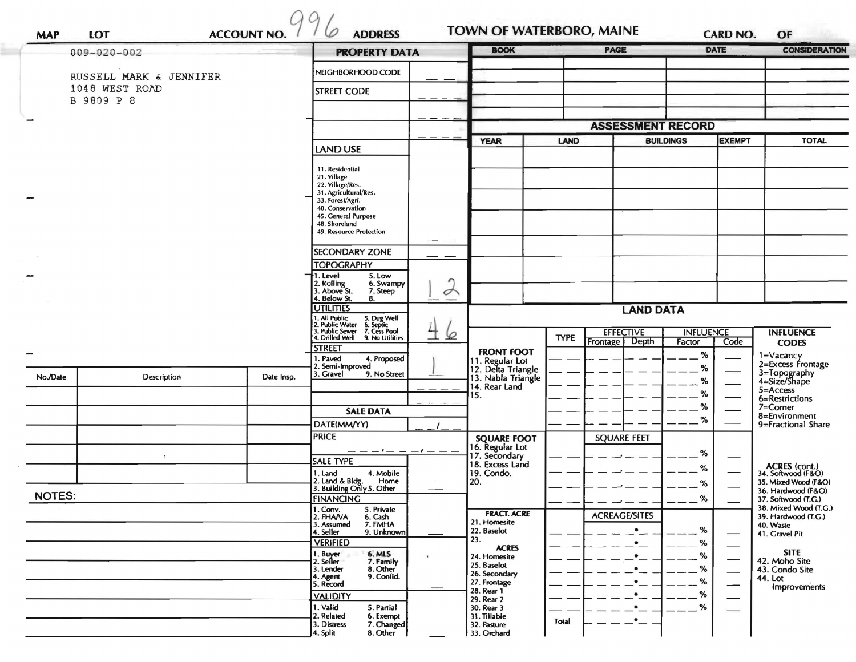| $009 - 020 - 002$                         |                             |                 | <b>PROPERTY DATA</b>                                                                                                                                                                   |                             | <b>BOOK</b>                                                                                              |                          | PAGE                                           | <b>DATE</b>      |                                        | <b>CONSIDERATION</b>                                      |
|-------------------------------------------|-----------------------------|-----------------|----------------------------------------------------------------------------------------------------------------------------------------------------------------------------------------|-----------------------------|----------------------------------------------------------------------------------------------------------|--------------------------|------------------------------------------------|------------------|----------------------------------------|-----------------------------------------------------------|
|                                           |                             |                 | NEIGHBORHOOD CODE                                                                                                                                                                      |                             |                                                                                                          |                          |                                                |                  |                                        |                                                           |
| RUSSELL MARK & JENNIFER<br>1048 WEST ROAD |                             |                 | <b>STREET CODE</b>                                                                                                                                                                     |                             |                                                                                                          |                          |                                                |                  |                                        |                                                           |
| B 9809 P 8                                |                             |                 |                                                                                                                                                                                        |                             |                                                                                                          |                          |                                                |                  |                                        |                                                           |
|                                           |                             |                 |                                                                                                                                                                                        |                             |                                                                                                          |                          |                                                |                  |                                        |                                                           |
|                                           |                             |                 |                                                                                                                                                                                        |                             |                                                                                                          | <b>ASSESSMENT RECORD</b> |                                                | <b>EXEMPT</b>    |                                        |                                                           |
|                                           |                             | <b>LAND USE</b> |                                                                                                                                                                                        | <b>YEAR</b>                 | LAND                                                                                                     |                          | <b>BUILDINGS</b>                               |                  | TOTAL                                  |                                                           |
|                                           |                             |                 | 11. Residential<br>21. Village<br>22. Village/Res.<br>31. Agricultural/Res.<br>33. Forest/Agri.<br>40. Conservation<br>45. General Purpose<br>48. Shoreland<br>49. Resource Protection |                             |                                                                                                          |                          |                                                |                  |                                        |                                                           |
|                                           |                             |                 | SECONDARY ZONE                                                                                                                                                                         |                             |                                                                                                          |                          |                                                |                  |                                        |                                                           |
|                                           |                             |                 | <b>TOPOGRAPHY</b>                                                                                                                                                                      |                             |                                                                                                          |                          |                                                |                  |                                        |                                                           |
|                                           |                             |                 | 5. Low<br>1. Level<br>2. Rolling<br>3. Above St.<br>6. Swampy                                                                                                                          |                             |                                                                                                          |                          |                                                |                  |                                        |                                                           |
|                                           |                             |                 | 7. Steep<br>4. Below St.<br>8.                                                                                                                                                         | $\rightarrow$<br>$\pm$<br>⊵ |                                                                                                          |                          |                                                |                  |                                        |                                                           |
|                                           |                             |                 | <b>UTILITIES</b><br>1. All Public<br>2. Public Water<br>3. Public Sewer<br>5. Dug Well<br>6. Septic<br>7. Cess Pool                                                                    |                             | <b>LAND DATA</b><br><b>EFFECTIVE</b><br><b>INFLUENCE</b>                                                 |                          |                                                |                  |                                        |                                                           |
|                                           |                             |                 | 4. Drilled Well<br>9. No Utilities<br><b>STREET</b>                                                                                                                                    |                             |                                                                                                          | <b>TYPE</b>              | Depth<br>Frontage                              | Factor           | Code                                   | <b>INFLUENCE</b><br><b>CODES</b>                          |
|                                           |                             |                 | 1. Paved<br>4. Proposed                                                                                                                                                                |                             | <b>FRONT FOOT</b><br>11. Regular Lot<br>12. Delta Triangle<br>13. Nabla Triangle<br>14. Rear Land<br>15. |                          |                                                | %                |                                        | 1=Vacancy<br>2=Excess Frontage                            |
| No./Date                                  | Description                 | Date Insp.      | 2. Semi-Improved<br>3. Gravel<br>9. No Street                                                                                                                                          |                             |                                                                                                          |                          |                                                | %                | %                                      | 3=Topography<br>4=Size/Shape                              |
|                                           |                             |                 |                                                                                                                                                                                        |                             |                                                                                                          |                          |                                                | %                |                                        | 5=Access                                                  |
|                                           |                             |                 | <b>SALE DATA</b>                                                                                                                                                                       |                             |                                                                                                          |                          |                                                | %                |                                        | 6=Restrictions<br>7=Corner                                |
|                                           |                             |                 | DATE(MM/YY)                                                                                                                                                                            |                             |                                                                                                          |                          |                                                | $\%$             |                                        | 8=Environment<br>9=Fractional Share                       |
|                                           |                             |                 | <b>PRICE</b>                                                                                                                                                                           |                             | <b>SQUARE FOOT</b><br>16. Regular Lot                                                                    |                          | <b>SQUARE FEET</b>                             |                  |                                        |                                                           |
|                                           | $\mathcal{L}_{\mathcal{L}}$ |                 | $- - - - - - - -$<br><b>SALE TYPE</b>                                                                                                                                                  |                             | 17. Secondary                                                                                            |                          |                                                | %                |                                        |                                                           |
|                                           |                             |                 | 1. Land<br>4. Mobile                                                                                                                                                                   |                             | 18. Excess Land<br>19. Condo.                                                                            |                          |                                                | %                |                                        | ACRES (cont.)<br>34. Softwood (F&O)                       |
|                                           |                             |                 | 2. Land & Bldg.<br>Home<br>3. Building Only 5. Other                                                                                                                                   |                             | 20.                                                                                                      |                          |                                                | %                |                                        | 35. Mixed Wood (F&O)<br>36. Hardwood (F&O)                |
| <b>NOTES:</b>                             |                             |                 | FINANCING                                                                                                                                                                              |                             |                                                                                                          |                          | $\overline{\phantom{a}}$                       | O/<br>70<br>$--$ |                                        | 37. Softwood (T.G.)<br>38. Mixed Wood (T.G.)              |
|                                           |                             |                 | 1. Conv.<br>5. Private<br>2. FHAVA<br>6. Cash<br>7. FMHA<br>3. Assumed<br>4. Seller<br>9. Unknown<br><b>VERIFIED</b>                                                                   |                             | <b>FRACT. ACRE</b><br>21. Homesite<br>22. Baselot<br>23.                                                 |                          | <b>ACREAGE/SITES</b><br>$\bullet$<br>$\bullet$ | %<br>%           |                                        | 39. Hardwood (T.G.)<br>40. Waste<br>41. Gravel Pit        |
|                                           |                             |                 | 1. Buyer<br>2. Seller<br>6. MLS<br>7. Family<br>8. Other<br>3. Lender<br>4. Agent<br>5. Record<br>9. Confid.                                                                           |                             | <b>ACRES</b><br>24. Homesite<br>25. Baselot<br>26. Secondary<br>27. Frontage                             |                          | $\bullet$<br>$^{\bullet}$<br>$\bullet$         | %<br>%<br>%      | $\overline{\phantom{0}}$               | <b>SITE</b><br>42. Moho Site<br>43. Condo Site<br>44. Lot |
|                                           |                             |                 | <b>VALIDITY</b><br>1. Valid<br>5. Partial                                                                                                                                              |                             | 28. Rear 1<br>29. Rear 2<br>30. Rear 3                                                                   |                          | $\bullet$<br>$\cdot$ $-$                       | %<br>$\%$        | --<br>$\overbrace{\phantom{aaaaa}}^{}$ | Improvements                                              |
|                                           |                             |                 | 2. Related<br>6. Exempt<br>7. Changed<br>3. Distress<br>8. Other<br>4. Split                                                                                                           |                             | 31. Tillable<br>32. Pasture<br>33. Orchard                                                               | Total                    | $\cdot$ $-$                                    |                  |                                        |                                                           |